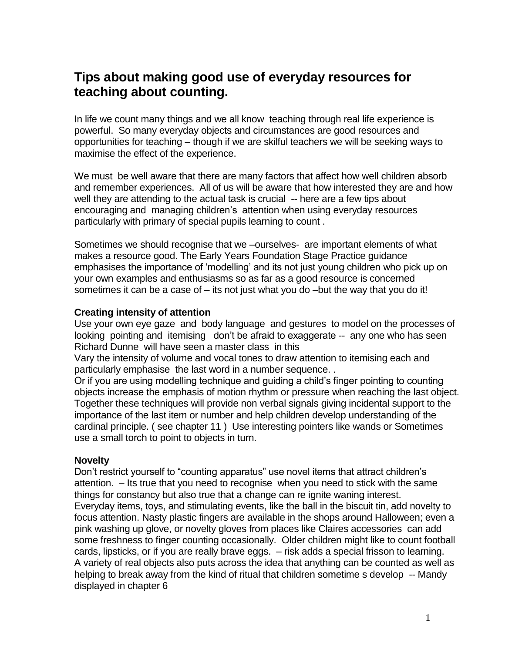# **Tips about making good use of everyday resources for teaching about counting.**

In life we count many things and we all know teaching through real life experience is powerful. So many everyday objects and circumstances are good resources and opportunities for teaching – though if we are skilful teachers we will be seeking ways to maximise the effect of the experience.

We must be well aware that there are many factors that affect how well children absorb and remember experiences. All of us will be aware that how interested they are and how well they are attending to the actual task is crucial -- here are a few tips about encouraging and managing children"s attention when using everyday resources particularly with primary of special pupils learning to count .

Sometimes we should recognise that we –ourselves- are important elements of what makes a resource good. The Early Years Foundation Stage Practice guidance emphasises the importance of "modelling" and its not just young children who pick up on your own examples and enthusiasms so as far as a good resource is concerned sometimes it can be a case of – its not just what you do –but the way that you do it!

#### **Creating intensity of attention**

Use your own eye gaze and body language and gestures to model on the processes of looking pointing and itemising don't be afraid to exaggerate -- any one who has seen Richard Dunne will have seen a master class in this

Vary the intensity of volume and vocal tones to draw attention to itemising each and particularly emphasise the last word in a number sequence. .

Or if you are using modelling technique and guiding a child"s finger pointing to counting objects increase the emphasis of motion rhythm or pressure when reaching the last object. Together these techniques will provide non verbal signals giving incidental support to the importance of the last item or number and help children develop understanding of the cardinal principle. ( see chapter 11 ) Use interesting pointers like wands or Sometimes use a small torch to point to objects in turn.

#### **Novelty**

Don't restrict yourself to "counting apparatus" use novel items that attract children's attention. – Its true that you need to recognise when you need to stick with the same things for constancy but also true that a change can re ignite waning interest. Everyday items, toys, and stimulating events, like the ball in the biscuit tin, add novelty to focus attention. Nasty plastic fingers are available in the shops around Halloween; even a pink washing up glove, or novelty gloves from places like Claires accessories can add some freshness to finger counting occasionally. Older children might like to count football cards, lipsticks, or if you are really brave eggs. – risk adds a special frisson to learning. A variety of real objects also puts across the idea that anything can be counted as well as helping to break away from the kind of ritual that children sometime s develop -- Mandy displayed in chapter 6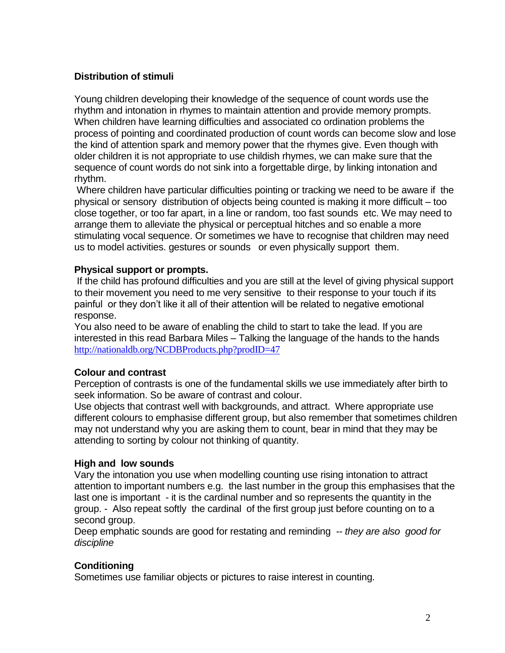## **Distribution of stimuli**

Young children developing their knowledge of the sequence of count words use the rhythm and intonation in rhymes to maintain attention and provide memory prompts. When children have learning difficulties and associated co ordination problems the process of pointing and coordinated production of count words can become slow and lose the kind of attention spark and memory power that the rhymes give. Even though with older children it is not appropriate to use childish rhymes, we can make sure that the sequence of count words do not sink into a forgettable dirge, by linking intonation and rhythm.

Where children have particular difficulties pointing or tracking we need to be aware if the physical or sensory distribution of objects being counted is making it more difficult – too close together, or too far apart, in a line or random, too fast sounds etc. We may need to arrange them to alleviate the physical or perceptual hitches and so enable a more stimulating vocal sequence. Or sometimes we have to recognise that children may need us to model activities. gestures or sounds or even physically support them.

#### **Physical support or prompts.**

If the child has profound difficulties and you are still at the level of giving physical support to their movement you need to me very sensitive to their response to your touch if its painful or they don"t like it all of their attention will be related to negative emotional response.

You also need to be aware of enabling the child to start to take the lead. If you are interested in this read Barbara Miles – Talking the language of the hands to the hands <http://nationaldb.org/NCDBProducts.php?prodID=47>

#### **Colour and contrast**

Perception of contrasts is one of the fundamental skills we use immediately after birth to seek information. So be aware of contrast and colour.

Use objects that contrast well with backgrounds, and attract. Where appropriate use different colours to emphasise different group, but also remember that sometimes children may not understand why you are asking them to count, bear in mind that they may be attending to sorting by colour not thinking of quantity.

#### **High and low sounds**

Vary the intonation you use when modelling counting use rising intonation to attract attention to important numbers e.g. the last number in the group this emphasises that the last one is important - it is the cardinal number and so represents the quantity in the group. - Also repeat softly the cardinal of the first group just before counting on to a second group.

Deep emphatic sounds are good for restating and reminding *-- they are also good for discipline* 

## **Conditioning**

Sometimes use familiar objects or pictures to raise interest in counting.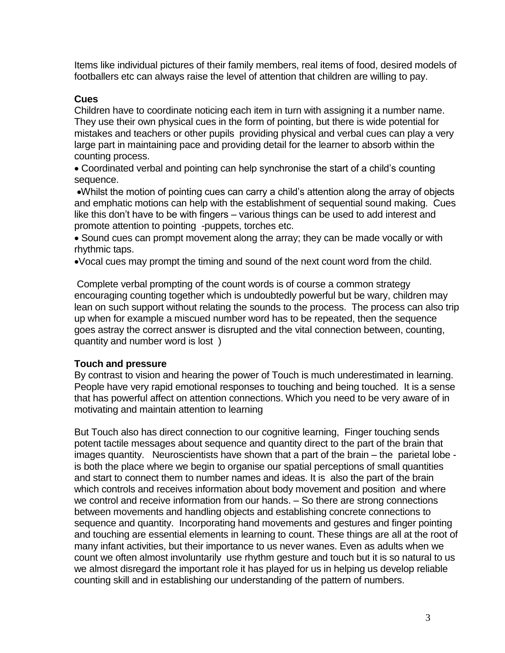Items like individual pictures of their family members, real items of food, desired models of footballers etc can always raise the level of attention that children are willing to pay.

### **Cues**

Children have to coordinate noticing each item in turn with assigning it a number name. They use their own physical cues in the form of pointing, but there is wide potential for mistakes and teachers or other pupils providing physical and verbal cues can play a very large part in maintaining pace and providing detail for the learner to absorb within the counting process.

 Coordinated verbal and pointing can help synchronise the start of a child"s counting sequence.

Whilst the motion of pointing cues can carry a child"s attention along the array of objects and emphatic motions can help with the establishment of sequential sound making. Cues like this don"t have to be with fingers – various things can be used to add interest and promote attention to pointing -puppets, torches etc.

• Sound cues can prompt movement along the array; they can be made vocally or with rhythmic taps.

Vocal cues may prompt the timing and sound of the next count word from the child.

Complete verbal prompting of the count words is of course a common strategy encouraging counting together which is undoubtedly powerful but be wary, children may lean on such support without relating the sounds to the process. The process can also trip up when for example a miscued number word has to be repeated, then the sequence goes astray the correct answer is disrupted and the vital connection between, counting, quantity and number word is lost )

#### **Touch and pressure**

By contrast to vision and hearing the power of Touch is much underestimated in learning. People have very rapid emotional responses to touching and being touched. It is a sense that has powerful affect on attention connections. Which you need to be very aware of in motivating and maintain attention to learning

But Touch also has direct connection to our cognitive learning, Finger touching sends potent tactile messages about sequence and quantity direct to the part of the brain that images quantity. Neuroscientists have shown that a part of the brain – the parietal lobe is both the place where we begin to organise our spatial perceptions of small quantities and start to connect them to number names and ideas. It is also the part of the brain which controls and receives information about body movement and position and where we control and receive information from our hands. – So there are strong connections between movements and handling objects and establishing concrete connections to sequence and quantity. Incorporating hand movements and gestures and finger pointing and touching are essential elements in learning to count. These things are all at the root of many infant activities, but their importance to us never wanes. Even as adults when we count we often almost involuntarily use rhythm gesture and touch but it is so natural to us we almost disregard the important role it has played for us in helping us develop reliable counting skill and in establishing our understanding of the pattern of numbers.